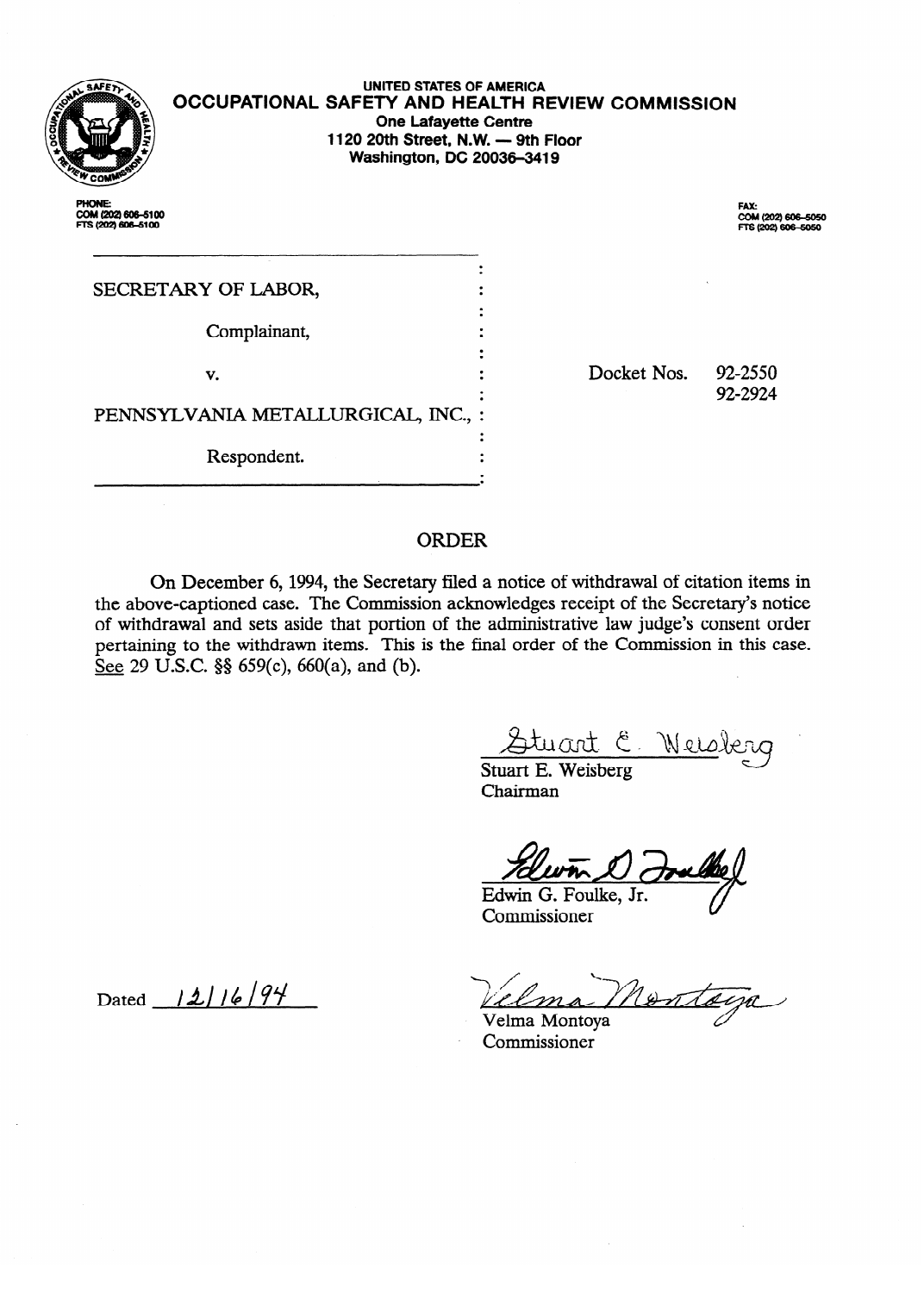

.<br>COM (202) 606–510<br>FTS (202) 606–510

#### **OCCUPAflONAL SAFETY AND HEALTH REVIEW COMMISSION UNITED STATES OF AMERICA One Lafayette Centre 1120 20th Street, N.W. - 9th Floor Washington, DC 20036-3419**

| SECRETARY OF LABOR,                 |  |  |  |
|-------------------------------------|--|--|--|
| Complainant,                        |  |  |  |
| v.                                  |  |  |  |
| PENNSYLVANIA METALLURGICAL, INC., : |  |  |  |
| Respondent.                         |  |  |  |

**.**  COM (202) 606–5050<br>FTS (202) 606–50<del>5</del>0

Docket Nos. 92-2550 92-2924

# ORDER

On December 6, 1994, the Secretary filed a notice of withdrawal of citation items in of withdrawal and sets aside that portion of the administrative law judge's consent order pertaining to the withdrawn items. This is the final order of the Commission in this case. See 29 U.S.C.  $\S$  659(c), 660(a), and (b).  $\overline{\phantom{a}}$   $\overline{\phantom{a}}$   $\overline{\phantom{a}}$   $\overline{\phantom{a}}$   $\overline{\phantom{a}}$ 

<u>Stuart E. Weis</u>

Stuart E. Weisberg Chairman

Edwin G. Foulke, Jr. Commissioner

Contain

 $\hat{\mathcal{A}}$ 

Velma Montoya Commissioner

Dated 12/16/94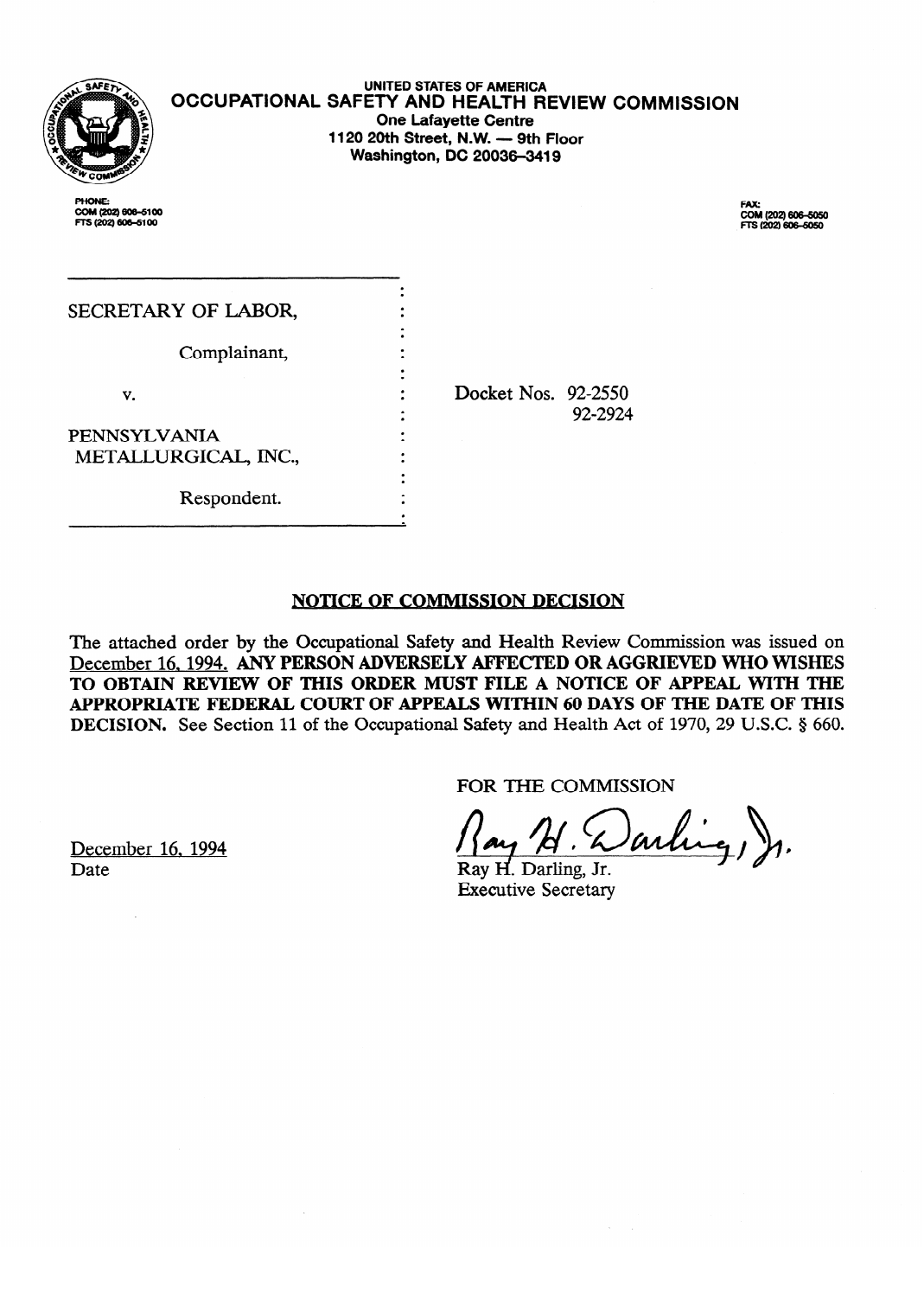

**UNITED STATES OF AMERICA OCCUPATIONAL SAFETY AND HEALTH REVIEW COMMISSION One Lafayette Centre 1120 20th Street, N.W. - 9th Floor Washington, DC 20036-3419** 

PHONE: **COM (202) 606–**<br>FTS (202) 606–5

**EEl(202) 6o64050 m(202)-** 

| SECRETARY OF LABOR,  |                     |         |
|----------------------|---------------------|---------|
| Complainant,         |                     |         |
| v.                   | Docket Nos. 92-2550 |         |
| PENNSYLVANIA         |                     | 92-2924 |
| METALLURGICAL, INC., |                     |         |
| Respondent.          |                     |         |

 $\bar{z}$ 

## **NOTICE OF COMMISSION DECISION**

. .

The attached order by the Occupational Safety and Health Review Commission was issued on December 16, 1994. ANY PERSON ADVERSELY AFFECTED OR AGGRIEVED WHO WISHES TO OBTAIN REVIEW OF THIS ORDER MUST FILE A NOTICE OF APPEAL WITH THE APPROPRIATE FEDERAL COURT OF APPEALS WITHIN 60 DAYS OF THE DATE OF THIS **TO OBTAIN REVIEW OF THE OBTAIN REVIEW OF THE BALL OF THIS AREA CONTROL**<br>**A C** Obtained a *C* and a *C* and a *C* and **C** and a *C* and a a control of a set of a control of a component of a control of a component of a co **DECISION.** See Section 11 of the Occupational Salety and Treath Act of 1970, 29 O.S.C. 8 000.

FOR THE COMMISSION

arling ).

Ray H. Darling, Jr. **Executive Secretary** 

Ray d Darling, Jr.

December 16, 1994 Date

Respondent.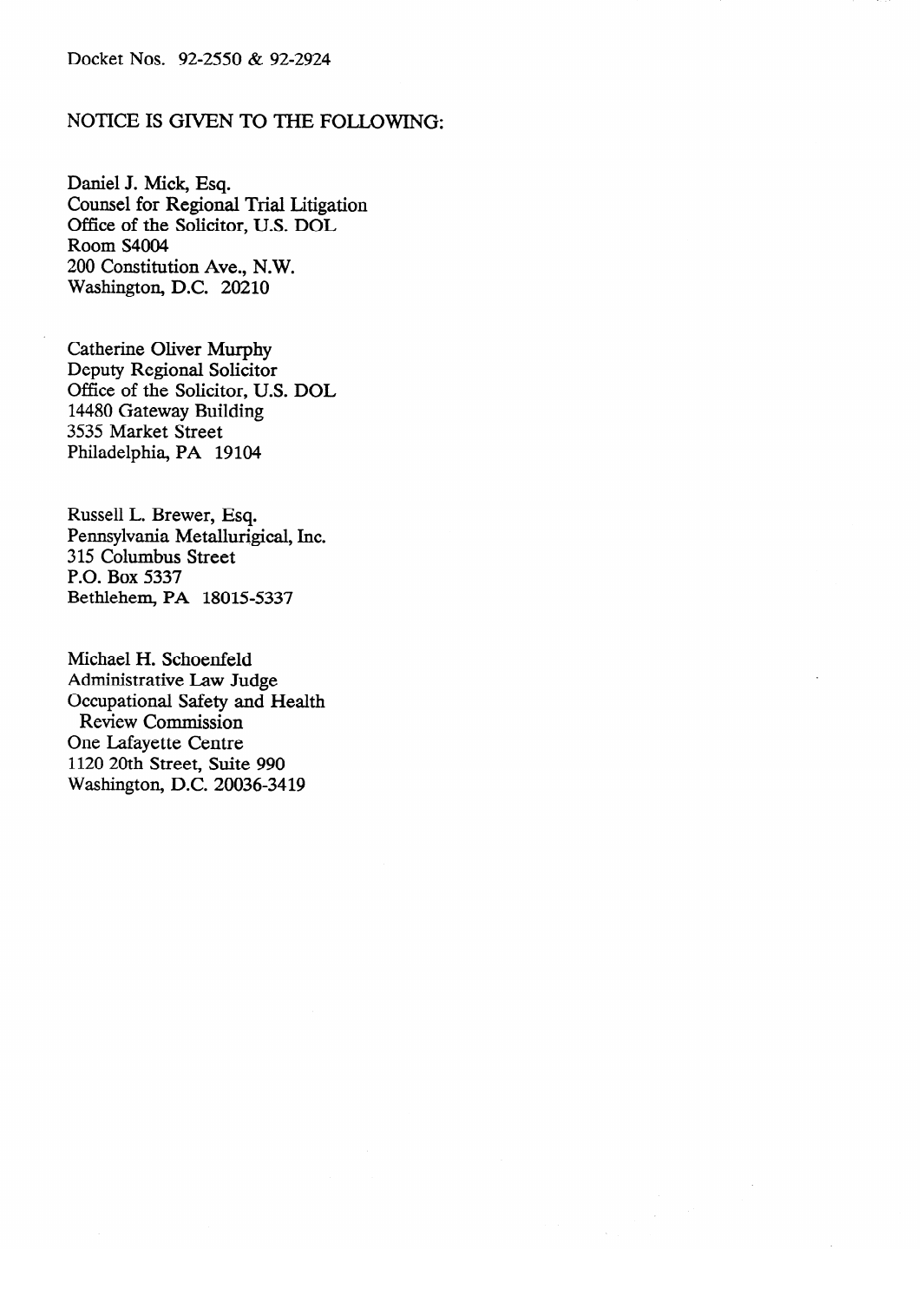## NOTICE IS GIVEN TO THE FOLLOWING:

Daniel J. Mick, Esq. Office of the Solicitor, U.S. DOL Room S4004 200 Constitution Ave., N.W. Washington, D.C. 20210 Washington, D.C. 20210

**Catherine Oliver Murphy** Deputy Regional Solicitor Office of the Solicitor, U.S. DOL 14480 Gateway Building 3535 Market Street Philadelphia, PA 19104

Russell L. Brewer, Esq. Pennsylvania Metallurigical, Inc. 315 Columbus Street P.O. Box 5337 Bethlehem, PA 18015-5337

Michael H. Schoenfeld Administrative Law Judge<br>Occupational Safety and Health Review Commission One Lafayette Centre 1120 20th Street, Suite 990  $W$ eshinaton DC 200  $\sigma$ <sup>2</sup>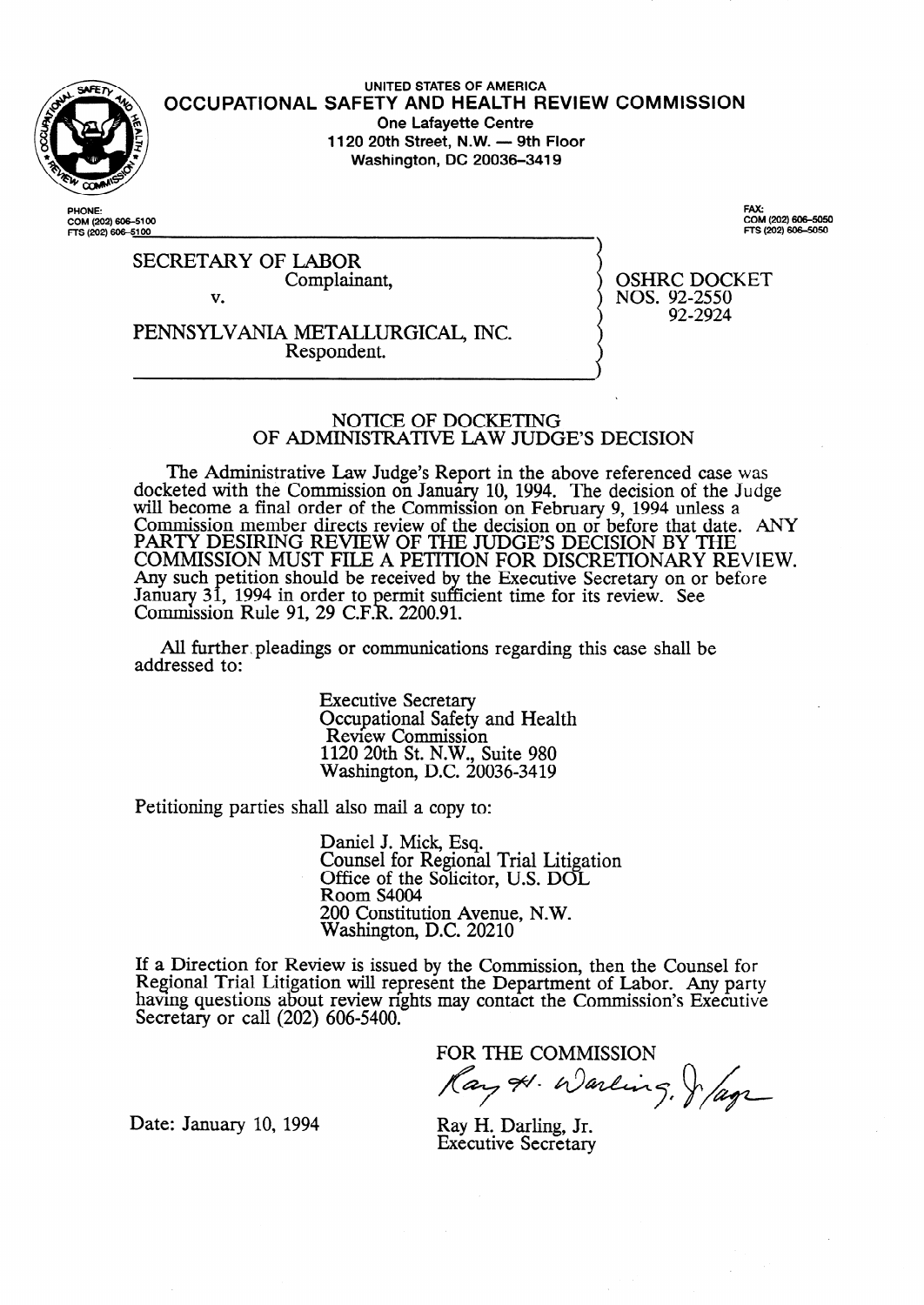

**UNITED STATES OF AMERICA**  OCCUPATIONAL SAFETY AND HEALTH REVIEW COMMISSIC **One Lafayette Centre**  1120 20th Street, N.W. — 9th Floor **Washington, DC 20036-3419** 

**PHONE: COM (202) 6064100 FTS (202) so&s1 00**  FAX:<br>COM (202) 606–50<del>:</del> **m-s (202) 6ocsoso** 

SECRETARY OF LABOR Complainant, v.

PENNSYLVANIA METALLURGICAL, INC. Respondent.

OSHRC DOCKET NOS. 92-2550 92-2924

### NOTICE OF DOCKETING OF **ADMINISTRATIVE** LAW **JUDGE'S DECISION**

The Administrative Law Judge's Report in the above referenced case was docketed with the Commission on January 10, 1994. The decision of the Judge will become a final order of the Commission on February 9, 1994 unless a Commission member directs review of the decision on or before that date. ANY PARTY DESIRING REVIEW OF THE JUDGE'S DECISION BY THE COMMISSION MUST FILE A PETITION FOR DISCRETIONARY REVIEW. Any such January 31, 1994 in order to permit suf etition should be received by the Executive Secretary on or before Commission Rule 91, 29 C.F.R. 2200.91. fficient time for its review. See

All further, pleadings or communications regarding this case shall be addressed to:

> Executive Secretary Occupational Safety and Health Review Commission 1120 20th St. N.W., Suite 980 Washington, D.C. 20036-3419

Petitioning parties shall also mail a copy to:

Daniel J. Mick, Esq. Counsel for Regional Trial Litigation Office of the Solicitor, U.S. DOL Room S4004 200 Constitution Avenue, N.W. Washington, D.C. 20210

If a Direction for Review is issued by the Commission, then the Counsel for Regional Trial Litigation will represent the Department of Labor. Any party having questions about review rights may contact the Commission's Executive Secretary or call (202) 606-5400.

FOR THE COMMISSION<br>Ray & Warling, Jag

Date: January 10, 1994 Ray H. Darling, Jr.

Executive Secretary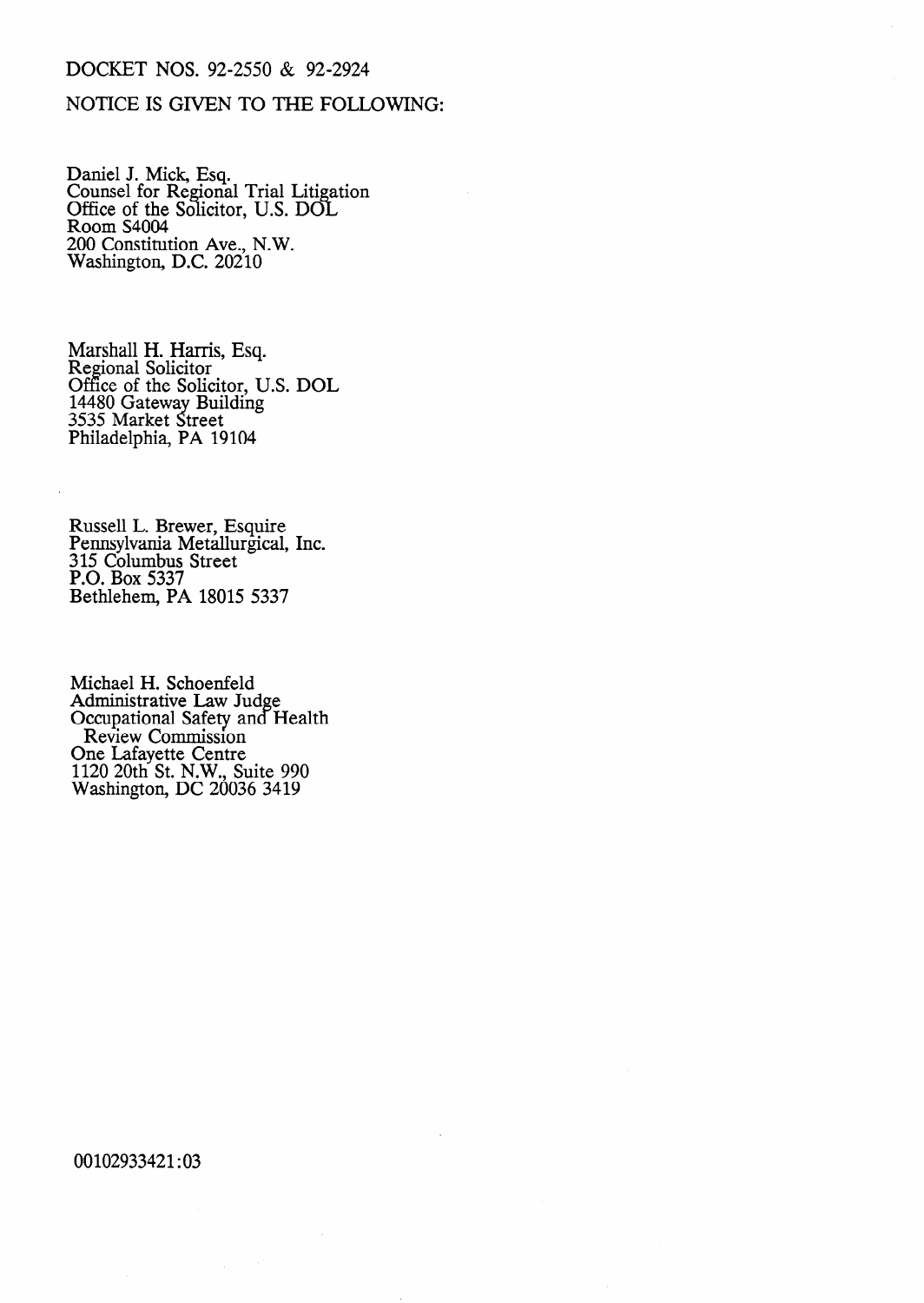# DOCKET NOS. 92-2550 & 92-2924

## NOTICE IS GIVEN TO THE FOLLOWING:

Daniel J. Mick, Esq. Counsel for Regional Trial Litigation Office of the Solicitor, U.S. DOL Room S4004 200 Constitution Ave., N.W. Washington, D.C. 20210

Marshall H. Harris, Esq. Regional Solicitor Office of the Solicitor, U.S. DOL 14480 Gateway Building 3535 Market Street Philadelphia, PA 19104

Russell L. Brewer, Esquire Pennsylvania Metallurgical, Inc. 3 15 Columbus Street P.O. Box 5337 Bethlehem, PA 18015 5337

Michael H. Schoenfeld Administrative Law Judge Occupational Safety and Health Review Commission One Lafayette Centre 1120 20th St. N.W., Suite 990 Washington, DC 20036 3419

00102933421:03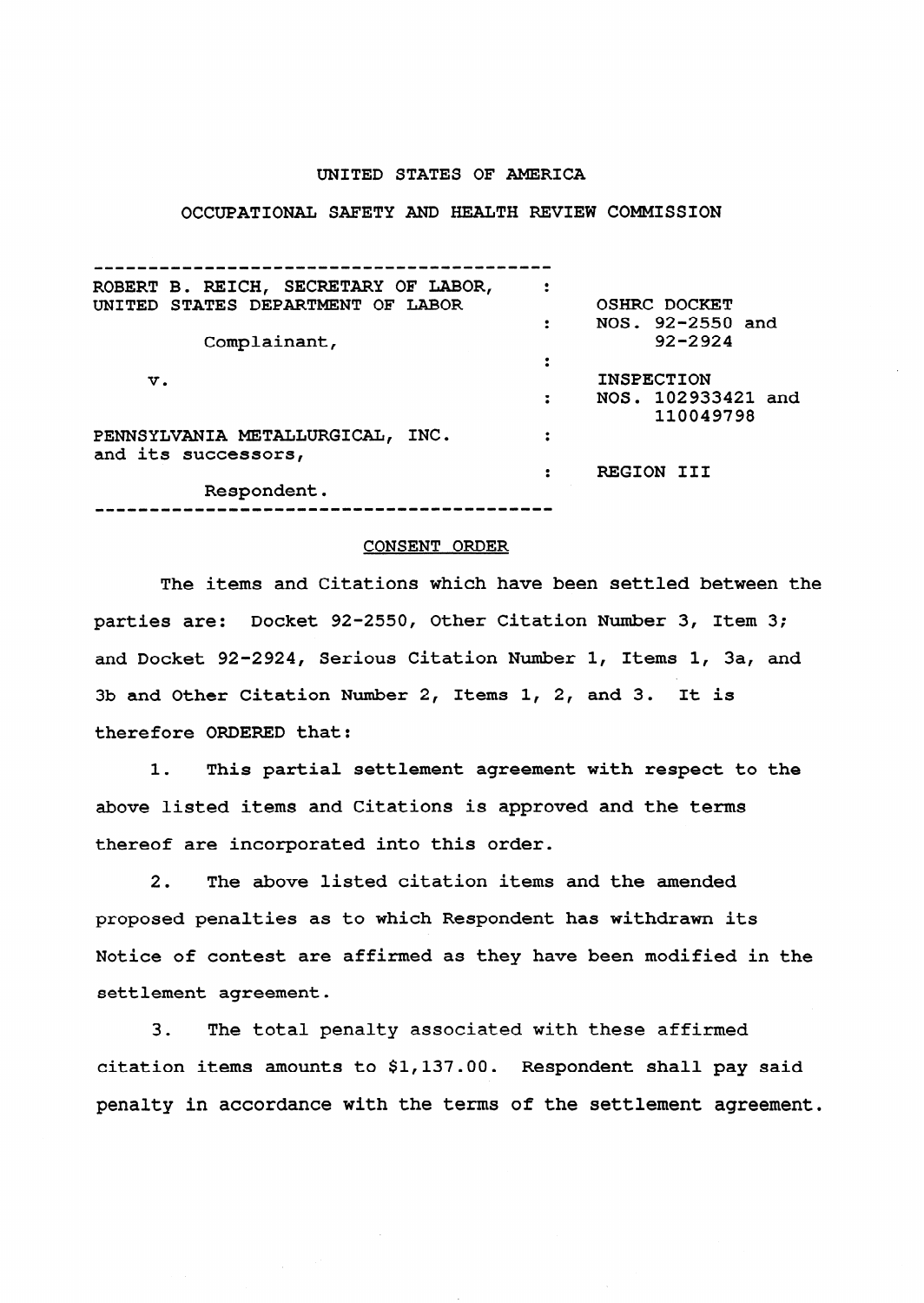#### **UNITED STATES OF AMERICA**

#### **OCCUPATIONAL SAFETY AND HEALTH REVIEW COMMISSION**

| ROBERT B. REICH, SECRETARY OF LABOR,<br>UNITED STATES DEPARTMENT OF LABOR |                | OSHRC DOCKET                    |
|---------------------------------------------------------------------------|----------------|---------------------------------|
|                                                                           | $\ddot{\cdot}$ | NOS. 92-2550 and                |
| Complainant,                                                              |                | $92 - 2924$                     |
|                                                                           |                |                                 |
| v.                                                                        |                | <b>INSPECTION</b>               |
|                                                                           |                | NOS. 102933421 and<br>110049798 |
| PENNSYLVANIA METALLURGICAL, INC.<br>and its successors,                   |                |                                 |
|                                                                           |                | REGION III                      |
| Respondent.                                                               |                |                                 |

**I)--Ir------------II(I)-------I)II-----II--------** 

#### **CONSENT ORDER**

**The items and Citations which have been settled between the parties are: Docket 92-2550, Other Citation Number 3, Item 3; and Docket 92-2924, Serious Citation Number 1, Items 1, 3a, and 3b and Other Citation Number 2, Items 1, 2, and 3. It is therefore ORDERED that:** 

1. This partial settlement agreement with respect to the **above listed items and Citations is approved and the terms thereof are incorporated into this order.** 

2. The above listed citation items and the amended **proposed penalties as to which Respondent has withdrawn its Notice of contest are affirmed as they have been modified in the settlement agreement.** 

3. The total penalty associated with these affirmed **citation items amounts to \$1,137.00. Respondent shall pay said penalty in accordance with the terms of the settlement agreement.**